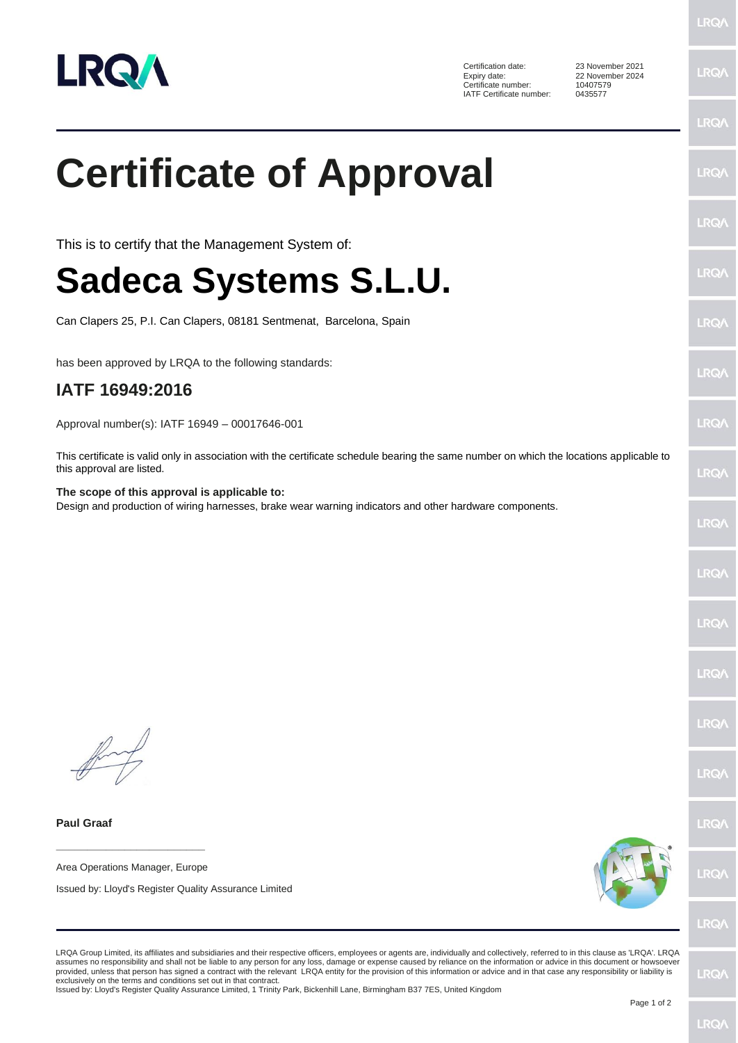

Certification date: 23 November 2021<br>Expiry date: 22 November 2024 Certificate number: IATF Certificate number: 0435577

22 November 2024<br>10407579

## **Certificate of Approval** This is to certify that the Management System of:

## **Sadeca Systems S.L.U.**

Can Clapers 25, P.I. Can Clapers, 08181 Sentmenat, Barcelona, Spain

has been approved by LRQA to the following standards:

## **IATF 16949:2016**

Approval number(s): IATF 16949 – 00017646-001

This certificate is valid only in association with the certificate schedule bearing the same number on which the locations applicable to this approval are listed.

**The scope of this approval is applicable to:** Design and production of wiring harnesses, brake wear warning indicators and other hardware components.

**Paul Graaf**

Area Operations Manager, Europe

**\_\_\_\_\_\_\_\_\_\_\_\_\_\_\_\_\_\_\_\_\_\_\_\_**

Issued by: Lloyd's Register Quality Assurance Limited



LRQ/

LRQA Group Limited, its affiliates and subsidiaries and their respective officers, employees or agents are, individually and collectively, referred to in this clause as 'LRQA'. LRQA assumes no responsibility and shall not be liable to any person for any loss, damage or expense caused by reliance on the information or advice in this document or howsoever provided, unless that person has signed a contract with the relevant LRQA entity for the provision of this information or advice and in that case any responsibility or liability is<br>exclusively on the terms and conditions s

Issued by: Lloyd's Register Quality Assurance Limited, 1 Trinity Park, Bickenhill Lane, Birmingham B37 7ES, United Kingdom

LRQ/

**LRQ/** 

LRQ/

**LRO/** 

**LRQ** 

LRQ/

LRQ/

**LRQ/** 

LRQ/

LRQ/

LRQ/

LRQ/

LRQ/

LRQ/

LRQ/

LRQ/

LRQ/

**IRQ/**